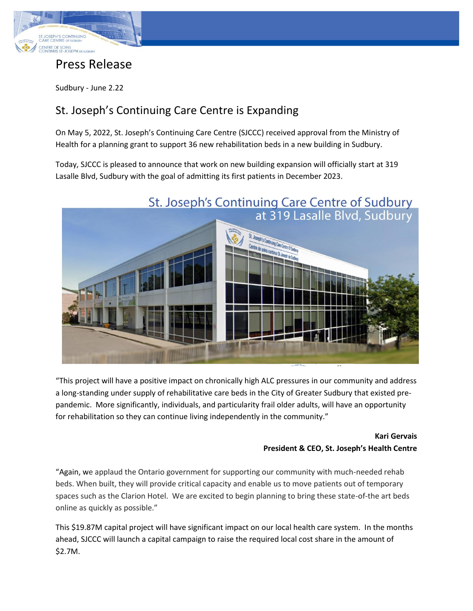

## Press Release

Sudbury - June 2.22

## St. Joseph's Continuing Care Centre is Expanding

On May 5, 2022, St. Joseph's Continuing Care Centre (SJCCC) received approval from the Ministry of Health for a planning grant to support 36 new rehabilitation beds in a new building in Sudbury.

Today, SJCCC is pleased to announce that work on new building expansion will officially start at 319 Lasalle Blvd, Sudbury with the goal of admitting its first patients in December 2023.



"This project will have a positive impact on chronically high ALC pressures in our community and address a long-standing under supply of rehabilitative care beds in the City of Greater Sudbury that existed prepandemic. More significantly, individuals, and particularity frail older adults, will have an opportunity for rehabilitation so they can continue living independently in the community."

## **Kari Gervais President & CEO, St. Joseph's Health Centre**

"Again, we applaud the Ontario government for supporting our community with much-needed rehab beds. When built, they will provide critical capacity and enable us to move patients out of temporary spaces such as the Clarion Hotel. We are excited to begin planning to bring these state-of-the art beds online as quickly as possible."

This \$19.87M capital project will have significant impact on our local health care system. In the months ahead, SJCCC will launch a capital campaign to raise the required local cost share in the amount of \$2.7M.